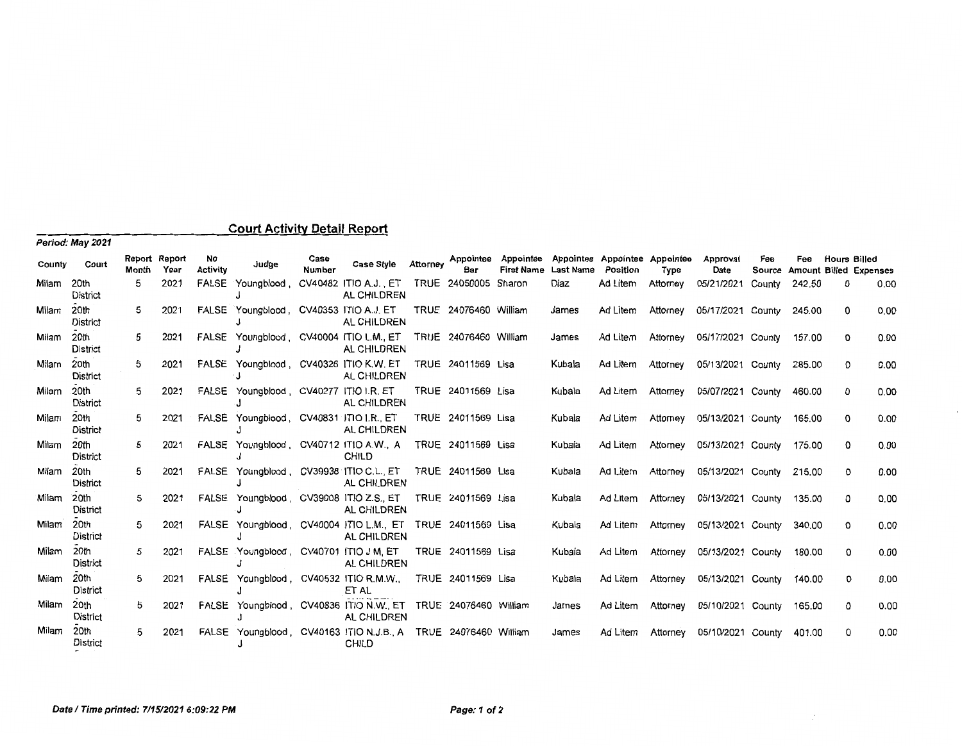| Period: May 2021 |                         |                        |      |                       |                                         |                |                                                                           |          |                       |                                          |                  |                                           |          |                            |        |        |                     |                               |
|------------------|-------------------------|------------------------|------|-----------------------|-----------------------------------------|----------------|---------------------------------------------------------------------------|----------|-----------------------|------------------------------------------|------------------|-------------------------------------------|----------|----------------------------|--------|--------|---------------------|-------------------------------|
| County           | Court                   | Report Report<br>Month | Year | No<br><b>Activity</b> | Judge                                   | Case<br>Number | <b>Case Style</b>                                                         | Attorney | Bar                   | Appointee Appointee<br><b>First Name</b> | <b>Last Name</b> | Appointee Appointee Appointee<br>Position | Type     | Approval<br>Date           | Fee    | Fee    | <b>Hours Billed</b> | Source Amount Billed Expenses |
| Milam            | 20th<br><b>District</b> | 5                      | 2021 | FALSE                 | Youngblood,                             |                | CV40482 ITIO A.J., ET<br>AL CHILDREN                                      |          | TRUE 24050005         | Sharon                                   | Diaz             | Ad Litem                                  | Attorney | 05/21/2021                 | County | 242.50 | 0                   | 0.00                          |
| Milam            | 20th<br><b>District</b> | 5                      | 2021 |                       | FALSE Youngblood, CV40353 ITIO A.J. ET  |                | AL CHILDREN                                                               |          | TRUE 24076460 William |                                          | James            | Ad Litem                                  | Attorney | 05/17/2021 County          |        | 245.00 | 0                   | 0.00                          |
| Milam            | 20th<br><b>District</b> | 5                      | 2021 |                       |                                         |                | FALSE Youngblood, CV40004 ITIO L.M., ET<br>AL CHILDREN                    |          | TRUE 24076460 William |                                          | James            | Ad Litem                                  | Attorney | 05/17/2021 County          |        | 157.00 | 0                   | 0.00                          |
| Milam            | 20th<br>District        | 5                      | 2021 |                       |                                         |                | FALSE Youngblood, CV40326 ITIO K.W. ET<br>AL CHILDREN                     |          | TRUE 24011569 Lisa    |                                          | Kubala           | Ad Litem                                  | Attorney | 05/13/2021 County          |        | 285.00 | 0                   | 0.00                          |
| Milam            | 20th<br>District        | 5                      | 2021 |                       | FALSE Youngblood, CV40277 ITIO I.R. ET  |                | AL CHILDREN                                                               |          | TRUE 24011569 Lisa    |                                          | Kubala           | Ad Litem                                  | Attorney | 05/07/2021 County          |        | 460.00 | 0                   | 0.00                          |
| Milam            | 20th<br>District        | 5                      | 2021 |                       | FALSE Youngblood, CV40831 ITIO I.R., ET |                | AL CHILDREN                                                               |          | TRUE 24011569 Lisa    |                                          | Kubala           | Ad Litem                                  | Attorney | 05/13/2021 County          |        | 165.00 | о                   | 0.00                          |
| Milam            | 20th<br>District        | 5                      | 2021 |                       |                                         |                | FALSE Youngblood, CV40712 ITIO A.W., A<br>CHILD                           |          | TRUE 24011569 Lisa    |                                          | Kubala           | Ad Litem                                  | Attorney | 05/13/2021 County 175.00   |        |        | 0                   | 0.00                          |
| Milam            | 20th<br>District        | 5                      | 2021 |                       |                                         |                | FALSE Youngblood, CV39938 ITIO C.L., ET<br>AL CHILDREN                    |          | TRUE 24011569 Lisa    |                                          | Kubala           | Ad Litem                                  | Attorney | 05/13/2021 County          |        | 215.00 | 0                   | 0.00                          |
| Milam 20th       | District                | 5                      | 2021 |                       | FALSE Youngblood, CV39008 ITIO Z.S., ET |                | AL CHILDREN                                                               |          | TRUE 24011569 Lisa    |                                          | Kubala           | Ad Litem                                  |          | Attorney 05/13/2021 County |        | 135.00 | 0                   | 0.00                          |
| Milam            | 20th<br><b>District</b> | 5                      | 2021 |                       |                                         |                | FALSE Youngblood, CV40004 ITIO L.M., ET TRUE 24011569 Lisa<br>AL CHILDREN |          |                       |                                          | Kubala           | Ad Litem                                  | Attorney | 05/13/2021 County          |        | 340.00 | 0                   | 0.00                          |
| Milam            | 20th<br>District        | 5                      | 2021 |                       | FALSE Youngblood, CV40701 ITIO J M, ET  |                | AL CHILDREN                                                               |          | TRUE 24011569 Lisa    |                                          | Kubala           | Ad Litem                                  | Attorney | 05/13/2021 County          |        | 180.00 | 0                   | 0.00                          |
| Milam            | 20th<br><b>District</b> | 5                      | 2021 |                       |                                         |                | FALSE Youngblood, CV40532 ITIO R.M.W.,<br>ET AL                           |          | TRUE 24011569 Lisa    |                                          | Kubala           | Ad Litem                                  | Attorney | 05/13/2021 County          |        | 140.00 | 0                   | 0.00                          |
| Milam            | 20th<br>District        | 5                      | 2021 |                       |                                         |                | FALSE Youngblood, CV40836 ITIO N.W., ET<br>AL CHILDREN                    |          | TRUE 24076460 William |                                          | James            | Ad Litem                                  | Attorney | 05/10/2021 County          |        | 165.00 | 0                   | 0.00                          |
| Milam            | 20th<br><b>District</b> | 5                      | 2021 |                       |                                         |                | FALSE Youngblood, CV40163 ITIO N.J.B. A<br>CHILD                          |          | TRUE 24076460 William |                                          | James            | Ad Litem                                  | Attorney | 05/10/2021 County          |        | 401.00 | 0                   | 0.00                          |

## **Court Activity Detail Report**

**Date** *I* **Time printed: 7/15/2021 6:09:22 PM Page: 1 of 2**